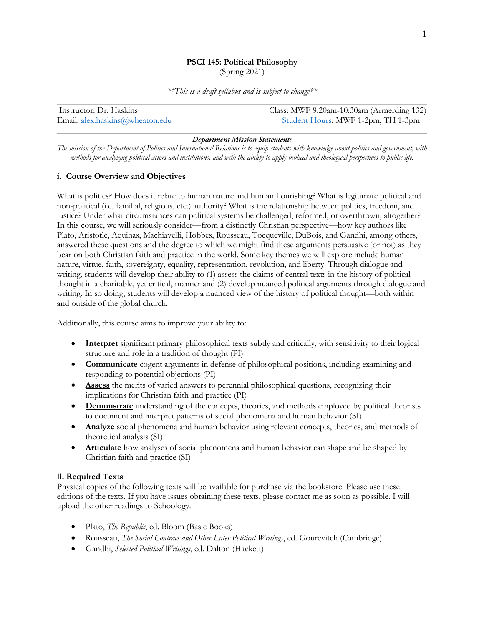# **PSCI 145: Political Philosophy**

(Spring 2021)

*\*\*This is a draft syllabus and is subject to change\*\**

| Instructor: Dr. Haskins         | Class: MWF 9:20am-10:30am (Armerding 132) |
|---------------------------------|-------------------------------------------|
| Email: alex.haskins@wheaton.edu | Student Hours: MWF 1-2pm, TH 1-3pm        |

#### *Department Mission Statement:*

*The mission of the Department of Politics and International Relations is to equip students with knowledge about politics and government, with methods for analyzing political actors and institutions, and with the ability to apply biblical and theological perspectives to public life.*

## **i. Course Overview and Objectives**

What is politics? How does it relate to human nature and human flourishing? What is legitimate political and non-political (i.e. familial, religious, etc.) authority? What is the relationship between politics, freedom, and justice? Under what circumstances can political systems be challenged, reformed, or overthrown, altogether? In this course, we will seriously consider—from a distinctly Christian perspective—how key authors like Plato, Aristotle, Aquinas, Machiavelli, Hobbes, Rousseau, Tocqueville, DuBois, and Gandhi, among others, answered these questions and the degree to which we might find these arguments persuasive (or not) as they bear on both Christian faith and practice in the world. Some key themes we will explore include human nature, virtue, faith, sovereignty, equality, representation, revolution, and liberty. Through dialogue and writing, students will develop their ability to (1) assess the claims of central texts in the history of political thought in a charitable, yet critical, manner and (2) develop nuanced political arguments through dialogue and writing. In so doing, students will develop a nuanced view of the history of political thought—both within and outside of the global church.

Additionally, this course aims to improve your ability to:

- **Interpret** significant primary philosophical texts subtly and critically, with sensitivity to their logical structure and role in a tradition of thought (PI)
- **Communicate** cogent arguments in defense of philosophical positions, including examining and responding to potential objections (PI)
- **Assess** the merits of varied answers to perennial philosophical questions, recognizing their implications for Christian faith and practice (PI)
- **Demonstrate** understanding of the concepts, theories, and methods employed by political theorists to document and interpret patterns of social phenomena and human behavior (SI)
- **Analyze** social phenomena and human behavior using relevant concepts, theories, and methods of theoretical analysis (SI)
- **Articulate** how analyses of social phenomena and human behavior can shape and be shaped by Christian faith and practice (SI)

## **ii. Required Texts**

Physical copies of the following texts will be available for purchase via the bookstore. Please use these editions of the texts. If you have issues obtaining these texts, please contact me as soon as possible. I will upload the other readings to Schoology.

- Plato, *The Republic*, ed. Bloom (Basic Books)
- Rousseau, *The Social Contract and Other Later Political Writings*, ed. Gourevitch (Cambridge)
- Gandhi, *Selected Political Writings*, ed. Dalton (Hackett)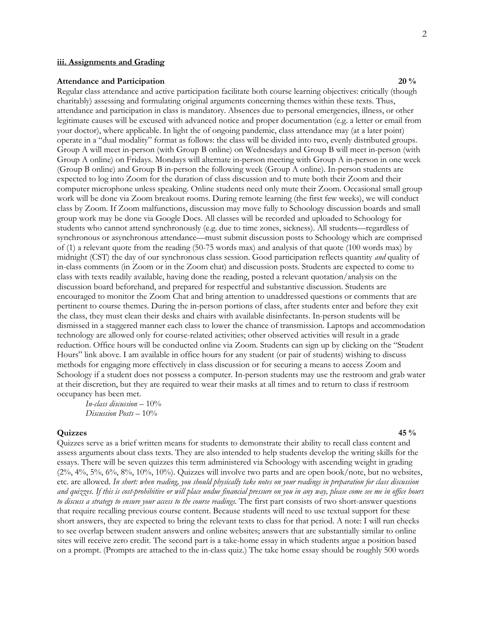#### **iii. Assignments and Grading**

#### **Attendance and Participation** 20 % **20** %

Regular class attendance and active participation facilitate both course learning objectives: critically (though charitably) assessing and formulating original arguments concerning themes within these texts. Thus, attendance and participation in class is mandatory. Absences due to personal emergencies, illness, or other legitimate causes will be excused with advanced notice and proper documentation (e.g. a letter or email from your doctor), where applicable. In light the of ongoing pandemic, class attendance may (at a later point) operate in a "dual modality" format as follows: the class will be divided into two, evenly distributed groups. Group A will meet in-person (with Group B online) on Wednesdays and Group B will meet in-person (with Group A online) on Fridays. Mondays will alternate in-person meeting with Group A in-person in one week (Group B online) and Group B in-person the following week (Group A online). In-person students are expected to log into Zoom for the duration of class discussion and to mute both their Zoom and their computer microphone unless speaking. Online students need only mute their Zoom. Occasional small group work will be done via Zoom breakout rooms. During remote learning (the first few weeks), we will conduct class by Zoom. If Zoom malfunctions, discussion may move fully to Schoology discussion boards and small group work may be done via Google Docs. All classes will be recorded and uploaded to Schoology for students who cannot attend synchronously (e.g. due to time zones, sickness). All students—regardless of synchronous or asynchronous attendance—must submit discussion posts to Schoology which are comprised of (1) a relevant quote from the reading (50-75 words max) and analysis of that quote (100 words max) by midnight (CST) the day of our synchronous class session. Good participation reflects quantity *and* quality of in-class comments (in Zoom or in the Zoom chat) and discussion posts. Students are expected to come to class with texts readily available, having done the reading, posted a relevant quotation/analysis on the discussion board beforehand, and prepared for respectful and substantive discussion. Students are encouraged to monitor the Zoom Chat and bring attention to unaddressed questions or comments that are pertinent to course themes. During the in-person portions of class, after students enter and before they exit the class, they must clean their desks and chairs with available disinfectants. In-person students will be dismissed in a staggered manner each class to lower the chance of transmission. Laptops and accommodation technology are allowed only for course-related activities; other observed activities will result in a grade reduction. Office hours will be conducted online via Zoom. Students can sign up by clicking on the "Student Hours" link above. I am available in office hours for any student (or pair of students) wishing to discuss methods for engaging more effectively in class discussion or for securing a means to access Zoom and Schoology if a student does not possess a computer. In-person students may use the restroom and grab water at their discretion, but they are required to wear their masks at all times and to return to class if restroom occupancy has been met.

*In-class discussion* – 10% *Discussion Posts* – 10%

## **Quizzes 45 %**

Quizzes serve as a brief written means for students to demonstrate their ability to recall class content and assess arguments about class texts. They are also intended to help students develop the writing skills for the essays. There will be seven quizzes this term administered via Schoology with ascending weight in grading  $(2\%, 4\%, 5\%, 6\%, 8\%, 10\%, 10\%)$ . Quizzes will involve two parts and are open book/note, but no websites, etc. are allowed. *In short: when reading, you should physically take notes on your readings in preparation for class discussion and quizzes. If this is cost-prohibitive or will place undue financial pressure on you in any way, please come see me in office hours to discuss a strategy to ensure your access to the course readings.* The first part consists of two short-answer questions that require recalling previous course content. Because students will need to use textual support for these short answers, they are expected to bring the relevant texts to class for that period. A note: I will run checks to see overlap between student answers and online websites; answers that are substantially similar to online sites will receive zero credit. The second part is a take-home essay in which students argue a position based on a prompt. (Prompts are attached to the in-class quiz.) The take home essay should be roughly 500 words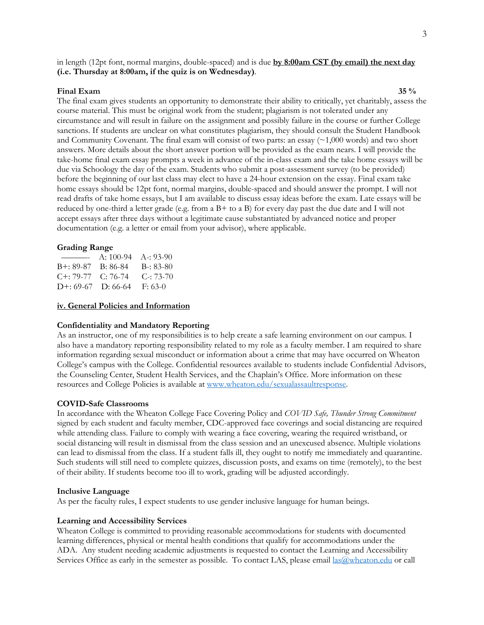in length (12pt font, normal margins, double-spaced) and is due **by 8:00am CST (by email) the next day (i.e. Thursday at 8:00am, if the quiz is on Wednesday)**.

## **Final Exam 35 %**

The final exam gives students an opportunity to demonstrate their ability to critically, yet charitably, assess the course material. This must be original work from the student; plagiarism is not tolerated under any circumstance and will result in failure on the assignment and possibly failure in the course or further College sanctions. If students are unclear on what constitutes plagiarism, they should consult the Student Handbook and Community Covenant. The final exam will consist of two parts: an essay  $(\sim 1,000$  words) and two short answers. More details about the short answer portion will be provided as the exam nears. I will provide the take-home final exam essay prompts a week in advance of the in-class exam and the take home essays will be due via Schoology the day of the exam. Students who submit a post-assessment survey (to be provided) before the beginning of our last class may elect to have a 24-hour extension on the essay. Final exam take home essays should be 12pt font, normal margins, double-spaced and should answer the prompt. I will not read drafts of take home essays, but I am available to discuss essay ideas before the exam. Late essays will be reduced by one-third a letter grade (e.g. from a B+ to a B) for every day past the due date and I will not accept essays after three days without a legitimate cause substantiated by advanced notice and proper documentation (e.g. a letter or email from your advisor), where applicable.

## **Grading Range**

| _______________             | A: $100-94$ A -: $93-90$ |                   |
|-----------------------------|--------------------------|-------------------|
| B+: 89-87                   | B: 86-84                 | $B - 83 - 80$     |
| $C_{1}: 79-77$              | $C: 76-74$               | $C_{\rm}$ : 73-70 |
| $D^{+}$ : 69-67 $D$ : 66-64 |                          | $F: 63-0$         |

## **iv. General Policies and Information**

## **Confidentiality and Mandatory Reporting**

As an instructor, one of my responsibilities is to help create a safe learning environment on our campus. I also have a mandatory reporting responsibility related to my role as a faculty member. I am required to share information regarding sexual misconduct or information about a crime that may have occurred on Wheaton College's campus with the College. Confidential resources available to students include Confidential Advisors, the Counseling Center, Student Health Services, and the Chaplain's Office. More information on these resources and College Policies is available at www.wheaton.edu/sexualassaultresponse.

## **COVID-Safe Classrooms**

In accordance with the Wheaton College Face Covering Policy and *COVID Safe, Thunder Strong Commitment* signed by each student and faculty member, CDC-approved face coverings and social distancing are required while attending class. Failure to comply with wearing a face covering, wearing the required wristband, or social distancing will result in dismissal from the class session and an unexcused absence. Multiple violations can lead to dismissal from the class. If a student falls ill, they ought to notify me immediately and quarantine. Such students will still need to complete quizzes, discussion posts, and exams on time (remotely), to the best of their ability. If students become too ill to work, grading will be adjusted accordingly.

## **Inclusive Language**

As per the faculty rules, I expect students to use gender inclusive language for human beings.

#### **Learning and Accessibility Services**

Wheaton College is committed to providing reasonable accommodations for students with documented learning differences, physical or mental health conditions that qualify for accommodations under the ADA. Any student needing academic adjustments is requested to contact the Learning and Accessibility Services Office as early in the semester as possible. To contact LAS, please email  $\frac{las@wheaton.edu}{las@wheaton.edu}$  or call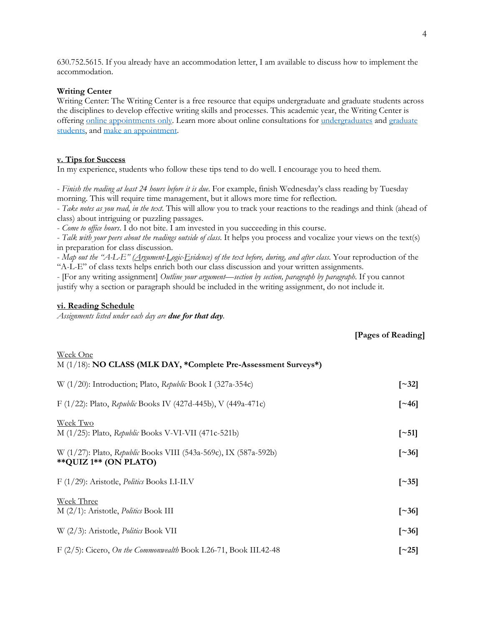630.752.5615. If you already have an accommodation letter, I am available to discuss how to implement the accommodation.

#### **Writing Center**

Writing Center: The Writing Center is a free resource that equips undergraduate and graduate students across the disciplines to develop effective writing skills and processes. This academic year, the Writing Center is offering online appointments only. Learn more about online consultations for undergraduates and graduate students, and make an appointment.

## **v. Tips for Success**

In my experience, students who follow these tips tend to do well. I encourage you to heed them.

- *Finish the reading at least 24 hours before it is due*. For example, finish Wednesday's class reading by Tuesday morning. This will require time management, but it allows more time for reflection.

- *Take notes as you read, in the text*. This will allow you to track your reactions to the readings and think (ahead of class) about intriguing or puzzling passages.

- *Come to office hours*. I do not bite. I am invested in you succeeding in this course.

- *Talk with your peers about the readings outside of class*. It helps you process and vocalize your views on the text(s) in preparation for class discussion.

- *Map out the "A-L-E" (Argument-Logic-Evidence) of the text before, during, and after class*. Your reproduction of the "A-L-E" of class texts helps enrich both our class discussion and your written assignments.

- [For any writing assignment] *Outline your argument—section by section, paragraph by paragraph*. If you cannot justify why a section or paragraph should be included in the writing assignment, do not include it.

#### **vi. Reading Schedule**

*Assignments listed under each day are due for that day.* 

## **[Pages of Reading]**

| Week One<br>M (1/18): NO CLASS (MLK DAY, *Complete Pre-Assessment Surveys*)                |                     |
|--------------------------------------------------------------------------------------------|---------------------|
| W (1/20): Introduction; Plato, Republic Book I (327a-354c)                                 | $\lceil -32 \rceil$ |
| F (1/22): Plato, Republic Books IV (427d-445b), V (449a-471c)                              | $\lceil 246 \rceil$ |
| Week Two<br>M $(1/25)$ : Plato, Republic Books V-VI-VII (471c-521b)                        | $\lceil -51 \rceil$ |
| W (1/27): Plato, Republic Books VIII (543a-569c), IX (587a-592b)<br>** QUIZ 1** (ON PLATO) | $\lceil 36 \rceil$  |
| F (1/29): Aristotle, Politics Books I.I-II.V                                               | $\lceil 35 \rceil$  |
| Week Three<br>$M(2/1)$ : Aristotle, <i>Politics</i> Book III                               | $\lceil 36 \rceil$  |
| W (2/3): Aristotle, Politics Book VII                                                      | $\lceil 36 \rceil$  |
| F $(2/5)$ : Cicero, On the Commonwealth Book I.26-71, Book III.42-48                       | [ $\sim$ 25]        |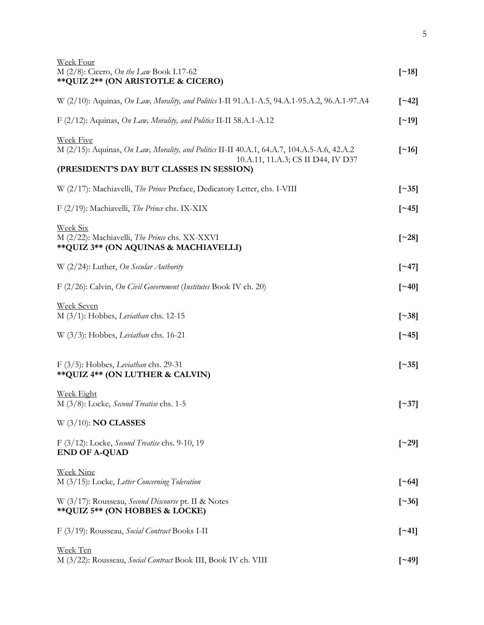| <b>Week Four</b><br>M $(2/8)$ : Cicero, On the Law Book I.17-62<br>** QUIZ 2** (ON ARISTOTLE & CICERO)                                                                                            | $\lceil$ ~18]            |
|---------------------------------------------------------------------------------------------------------------------------------------------------------------------------------------------------|--------------------------|
| W (2/10): Aquinas, On Law, Morality, and Politics I-II 91.A.1-A.5, 94.A.1-95.A.2, 96.A.1-97.A4                                                                                                    | $\lceil 242 \rceil$      |
| F (2/12): Aquinas, On Law, Morality, and Politics II-II 58.A.1-A.12                                                                                                                               | [~19]                    |
| <b>Week Five</b><br>M (2/15): Aquinas, On Law, Morality, and Politics II-II 40.A.1, 64.A.7, 104.A.5-A.6, 42.A.2<br>10.A.11, 11.A.3; CS II D44, IV D37<br>(PRESIDENT'S DAY BUT CLASSES IN SESSION) | $\lceil$ –16 $\rceil$    |
|                                                                                                                                                                                                   |                          |
| W (2/17): Machiavelli, The Prince Preface, Dedicatory Letter, chs. I-VIII                                                                                                                         | $\left[ \sim 35 \right]$ |
| F (2/19): Machiavelli, <i>The Prince</i> chs. IX-XIX                                                                                                                                              | $\lceil 245 \rceil$      |
| <b>Week Six</b><br>M (2/22): Machiavelli, The Prince chs. XX-XXVI<br>** QUIZ 3** (ON AQUINAS & MACHIAVELLI)                                                                                       | $\lceil 28 \rceil$       |
| W (2/24): Luther, On Secular Authority                                                                                                                                                            | $\lceil 247 \rceil$      |
| F (2/26): Calvin, On Civil Government (Institutes Book IV ch. 20)                                                                                                                                 | $\lceil -40 \rceil$      |
| <b>Week Seven</b><br>$M$ (3/1): Hobbes, Leviathan chs. 12-15                                                                                                                                      | $\lceil 38 \rceil$       |
| W (3/3): Hobbes, Leviathan chs. 16-21                                                                                                                                                             | $\lceil -45 \rceil$      |
| $F(3/5)$ : Hobbes, Leviathan chs. 29-31<br>** QUIZ 4** (ON LUTHER & CALVIN)                                                                                                                       | $\left[ \sim 35 \right]$ |
| <b>Week Eight</b><br>M (3/8): Locke, Second Treatise chs. 1-5                                                                                                                                     | $\left[ \sim 37 \right]$ |
| $W$ (3/10): <b>NO CLASSES</b>                                                                                                                                                                     |                          |
| $F(3/12)$ : Locke, Second Treatise chs. 9-10, 19<br><b>END OF A-QUAD</b>                                                                                                                          | $\lceil 29 \rceil$       |
| <u>Week Nine</u><br>M (3/15): Locke, Letter Concerning Toleration                                                                                                                                 | $\lceil -64 \rceil$      |
| W (3/17): Rousseau, Second Discourse pt. II & Notes<br>** QUIZ 5** (ON HOBBES & LOCKE)                                                                                                            | $\left[ \sim 36 \right]$ |
| F (3/19): Rousseau, Social Contract Books I-II                                                                                                                                                    | $\lceil 241 \rceil$      |
| Week Ten<br>M (3/22): Rousseau, Social Contract Book III, Book IV ch. VIII                                                                                                                        | $\lceil -49 \rceil$      |